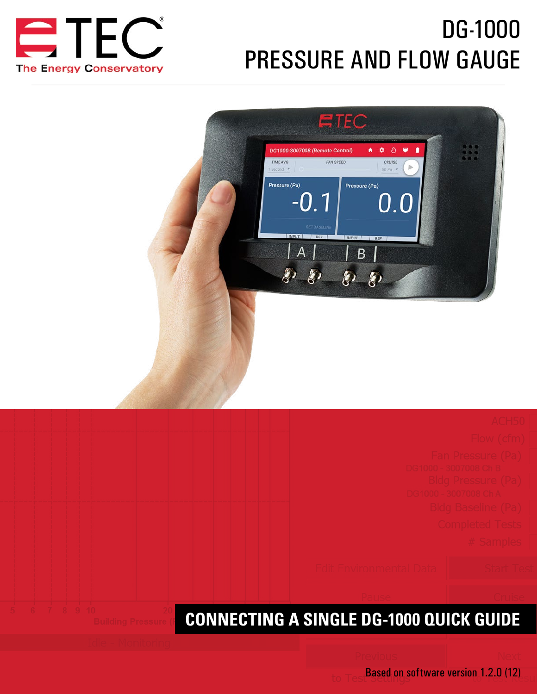

# DG-1000 PRESSURE AND FLOW GAUGE



**CONNECTING A SINGLE DG-1000 QUICK GUIDE**

Based on software version 1.2.0 (12)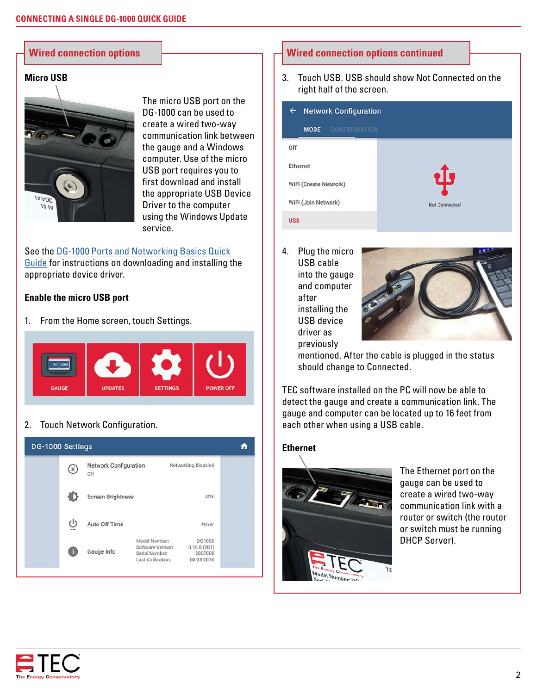# **Micro USB**



The micro USB port on the DG-1000 can be used to create a wired two-way communication link between the gauge and a Windows computer. Use of the micro USB port requires you to first download and install the appropriate USB Device Driver to the computer using the Windows Update service.

See the [DG-1000 Ports and Networking Basics Quick](http://energyconservatory.com/wp-content/uploads/2016/10/DG-1000-Networking-Basics-Quick-Guide.pdf)  [Guide](http://energyconservatory.com/wp-content/uploads/2016/10/DG-1000-Networking-Basics-Quick-Guide.pdf) for instructions on downloading and installing the appropriate device driver.

## **Enable the micro USB port**

1. From the Home screen, touch Settings.



# 2. Touch Network Configuration.



# **Wired connection options Wired connection options continued**

3. Touch USB. USB should show Not Connected on the right half of the screen.

| <b>Network Configuration</b><br>← |  |  |
|-----------------------------------|--|--|
|                                   |  |  |
|                                   |  |  |
|                                   |  |  |
| ψ                                 |  |  |
| Not Connected                     |  |  |
|                                   |  |  |
|                                   |  |  |

4. Plug the micro USB cable into the gauge and computer after installing the USB device driver as previously



mentioned. After the cable is plugged in the status should change to Connected.

TEC software installed on the PC will now be able to detect the gauge and create a communication link. The gauge and computer can be located up to 16 feet from each other when using a USB cable.

# **Ethernet**



The Ethernet port on the gauge can be used to create a wired two-way communication link with a router or switch (the router or switch must be running DHCP Server).

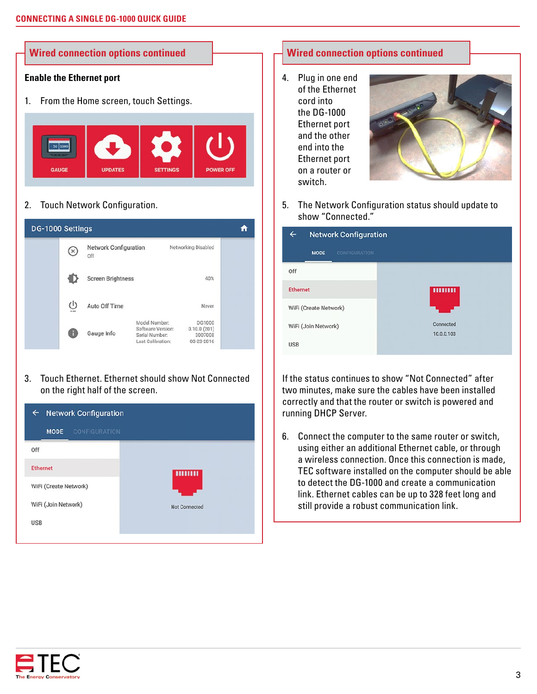

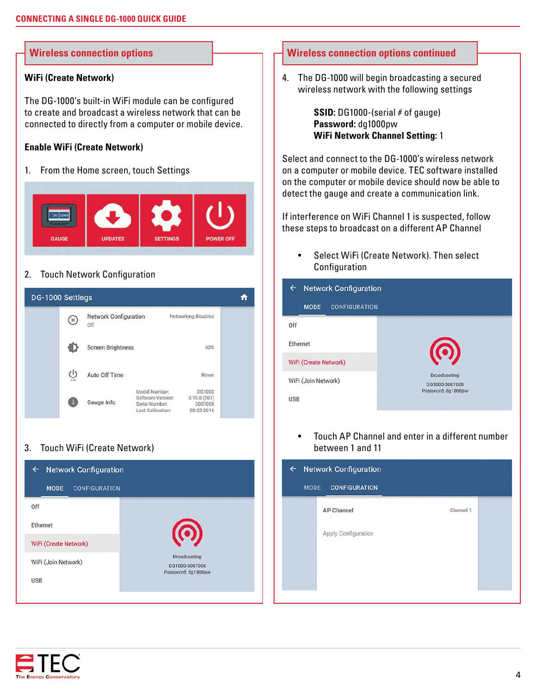### **WiFi (Create Network)**

The DG-1000's built-in WiFi module can be configured to create and broadcast a wireless network that can be connected to directly from a computer or mobile device.

# **Enable WiFi (Create Network)**

1. From the Home screen, touch Settings



# 2. Touch Network Configuration



# 3. Touch WiFi (Create Network)



# **Wireless connection options Wireless connection options continued**

4. The DG-1000 will begin broadcasting a secured wireless network with the following settings

> **SSID:** DG1000-(serial # of gauge) **Password:** dg1000pw **WiFi Network Channel Setting:** 1

Select and connect to the DG-1000's wireless network on a computer or mobile device. TEC software installed on the computer or mobile device should now be able to detect the gauge and create a communication link.

If interference on WiFi Channel 1 is suspected, follow these steps to broadcast on a different AP Channel

Select WiFi (Create Network). Then select **Configuration** 



Touch AP Channel and enter in a different number between 1 and 11

| <b>Network Configuration</b><br>$\leftarrow$<br><b>MODE</b><br><b>CONFIGURATION</b> |                     |           |  |  |
|-------------------------------------------------------------------------------------|---------------------|-----------|--|--|
|                                                                                     | AP Channel          | Channel 1 |  |  |
|                                                                                     | Apply Configuration |           |  |  |
|                                                                                     |                     |           |  |  |
|                                                                                     |                     |           |  |  |

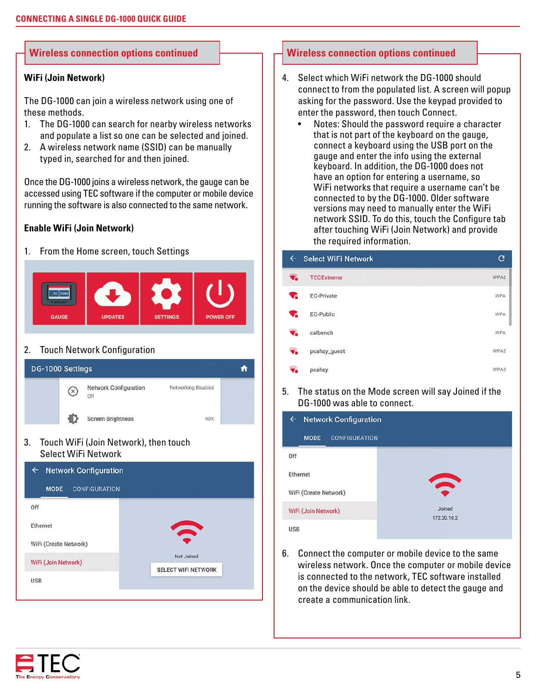### **WiFi (Join Network)**

The DG-1000 can join a wireless network using one of these methods.

- 1. The DG-1000 can search for nearby wireless networks and populate a list so one can be selected and joined.
- 2. A wireless network name (SSID) can be manually typed in, searched for and then joined.

Once the DG-1000 joins a wireless network, the gauge can be accessed using TEC software if the computer or mobile device running the software is also connected to the same network.

### **Enable WiFi (Join Network)**

1. From the Home screen, touch Settings



# 2. Touch Network Configuration



3. Touch WiFi (Join Network), then touch Select WiFi Network



# **Wireless connection options continued Wireless connection options continued**

- 4. Select which WiFi network the DG-1000 should connect to from the populated list. A screen will popup asking for the password. Use the keypad provided to enter the password, then touch Connect.
	- Notes: Should the password require a character that is not part of the keyboard on the gauge, connect a keyboard using the USB port on the gauge and enter the info using the external keyboard. In addition, the DG-1000 does not have an option for entering a username, so WiFi networks that require a username can't be connected to by the DG-1000. Older software versions may need to manually enter the WiFi network SSID. To do this, touch the Configure tab after touching WiFi (Join Network) and provide the required information.

| $\leftarrow$ | <b>Select WiFi Network</b> | c    |
|--------------|----------------------------|------|
| $\P$         | <b>TECExtreme</b>          | WPA2 |
| ∿            | <b>EC-Private</b>          | WPA  |
| ∿            | EC-Public                  | WPA  |
| $\P$         | calbench                   | WPA  |
| $\P$ a       | pcahzy_guest               | WPA2 |
| $\P$ a       | pcahzy                     | WPA2 |

5. The status on the Mode screen will say Joined if the DG-1000 was able to connect.

| <b>Network Configuration</b><br>$\leftarrow$ |                       |  |  |
|----------------------------------------------|-----------------------|--|--|
| <b>MODE</b><br><b>CONFIGURATION</b>          |                       |  |  |
| Off                                          |                       |  |  |
| Ethernet                                     | $\mathbf{C}$          |  |  |
| WiFi (Create Network)                        |                       |  |  |
| WiFi (Join Network)                          | Joined<br>172.20.10.2 |  |  |
| <b>USB</b>                                   |                       |  |  |

6. Connect the computer or mobile device to the same wireless network. Once the computer or mobile device is connected to the network, TEC software installed on the device should be able to detect the gauge and create a communication link.